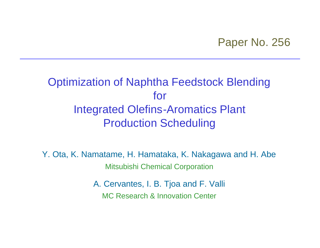### Paper No. 256

# Optimization of Naphtha Feedstock Blending for Integrated Olefins-Aromatics Plant Production Scheduling

Y. Ota, K. Namatame, H. Hamataka, K. Nakagawa and H. Abe Mitsubishi Chemical Corporation

> A. Cervantes, I. B. Tjoa and F. Valli MC Research & Innovation Center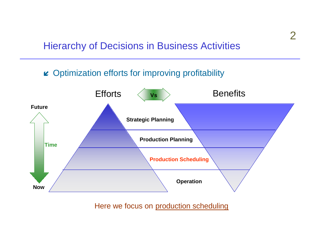#### Hierarchy of Decisions in Business Activities

#### $\boldsymbol{\mu}$  Optimization efforts for improving profitability



Here we focus on production scheduling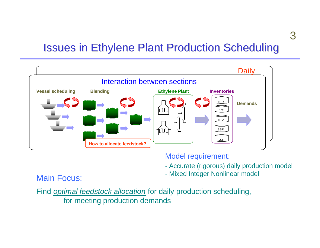# Issues in Ethylene Plant Production Scheduling



#### Model requirement:

- Accurate (rigorous) daily production model
- Main Focus: **Main Focus:** All Focus: All Focus: All Focus: All Focus: All Focus: All Focus: All Focus: All Focus: All Focus: All Focus: All Focus: All Focus: All Focus: All Focus: All Focus: All Focus: All Focus: All Focus

Find *optimal feedstock allocation* for daily production scheduling, for meeting production demands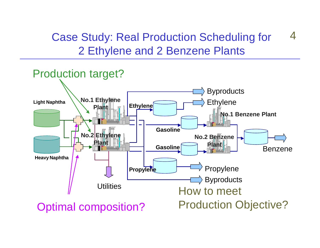Case Study: Real Production Scheduling for 2 Ethylene and 2 Benzene Plants 4

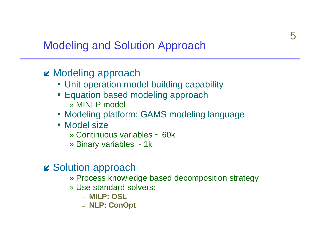# **Modeling and Solution Approach**

### $\boldsymbol{\mu}$  Modeling approach

- Unit operation model building capability
- Equation based modeling approach » MINI P model
- Modeling platform: GAMS modeling language
- Model size
	- » Continuous variables  $\sim$  60k
	- » Binary variables ~ 1k

#### $\boldsymbol{\mu}$  Solution approach

- » Process knowledge based decomposition strategy
- » Use standard solvers:
	- MILP: OSL
	- NLP: ConOpt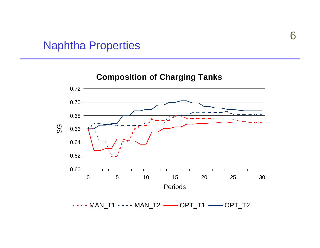#### Naphtha Properties

#### **Composition of Charging Tanks**

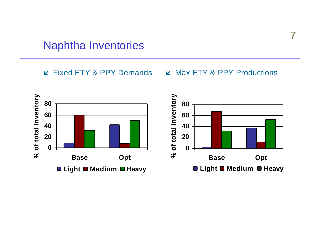#### **Naphtha Inventories**

**EXECUTE:** Fixed ETY & PPY Demands **EXECUTE:** Max ETY & PPY Productions